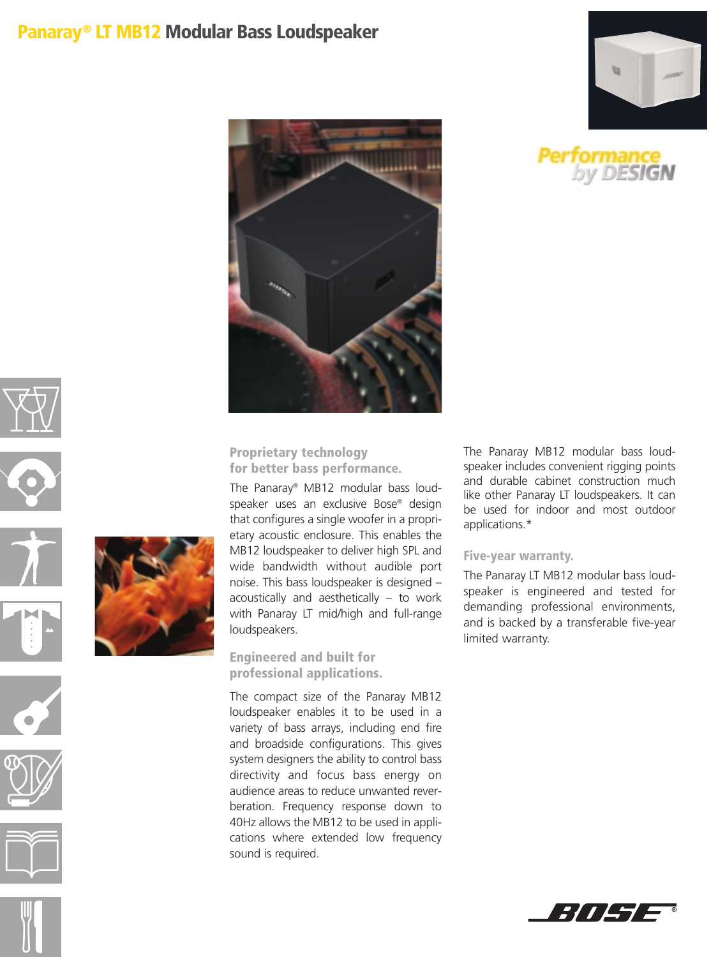## **Panaray® LT MB12 Modular Bass Loudspeaker**























**Proprietary technology for better bass performance.**

The Panaray® MB12 modular bass loudspeaker uses an exclusive Bose® design that configures a single woofer in a proprietary acoustic enclosure. This enables the MB12 loudspeaker to deliver high SPL and wide bandwidth without audible port noise. This bass loudspeaker is designed – acoustically and aesthetically – to work with Panaray LT mid/high and full-range loudspeakers.

**Engineered and built for professional applications.**

The compact size of the Panaray MB12 loudspeaker enables it to be used in a variety of bass arrays, including end fire and broadside configurations. This gives system designers the ability to control bass directivity and focus bass energy on audience areas to reduce unwanted reverberation. Frequency response down to 40Hz allows the MB12 to be used in applications where extended low frequency sound is required.

The Panaray MB12 modular bass loudspeaker includes convenient rigging points and durable cabinet construction much like other Panaray LT loudspeakers. It can be used for indoor and most outdoor applications.\*

## **Five-year warranty.**

The Panaray LT MB12 modular bass loudspeaker is engineered and tested for demanding professional environments, and is backed by a transferable five-year limited warranty.